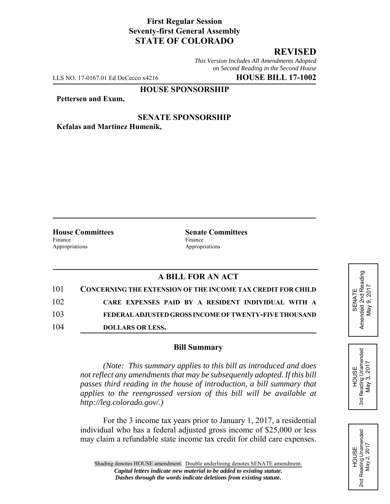## **First Regular Session Seventy-first General Assembly STATE OF COLORADO**

# **REVISED**

*This Version Includes All Amendments Adopted on Second Reading in the Second House*

LLS NO. 17-0167.01 Ed DeCecco x4216 **HOUSE BILL 17-1002**

#### **HOUSE SPONSORSHIP**

**Pettersen and Exum,**

**SENATE SPONSORSHIP Kefalas and Martinez Humenik,**

Finance Finance **Finance** Appropriations Appropriations

**House Committees Senate Committees** 

### **A BILL FOR AN ACT**

| 101 | <b>CONCERNING THE EXTENSION OF THE INCOME TAX CREDIT FOR CHILD</b> |
|-----|--------------------------------------------------------------------|
| 102 | CARE EXPENSES PAID BY A RESIDENT INDIVIDUAL WITH A                 |
| 103 | FEDERAL ADJUSTED GROSS INCOME OF TWENTY-FIVE THOUSAND              |
| 104 | <b>DOLLARS OR LESS.</b>                                            |

#### **Bill Summary**

*(Note: This summary applies to this bill as introduced and does not reflect any amendments that may be subsequently adopted. If this bill passes third reading in the house of introduction, a bill summary that applies to the reengrossed version of this bill will be available at http://leg.colorado.gov/.)*

For the 3 income tax years prior to January 1, 2017, a residential individual who has a federal adjusted gross income of \$25,000 or less may claim a refundable state income tax credit for child care expenses.





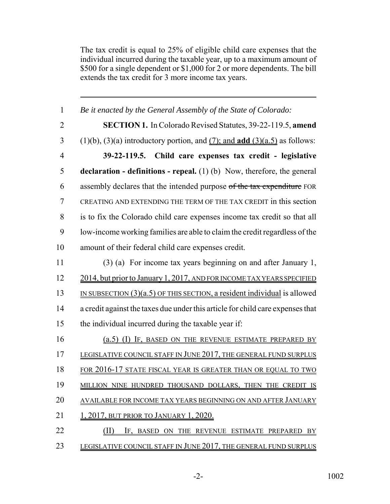The tax credit is equal to 25% of eligible child care expenses that the individual incurred during the taxable year, up to a maximum amount of \$500 for a single dependent or \$1,000 for 2 or more dependents. The bill extends the tax credit for 3 more income tax years.

| $\mathbf{1}$   | Be it enacted by the General Assembly of the State of Colorado:                             |
|----------------|---------------------------------------------------------------------------------------------|
| $\overline{2}$ | <b>SECTION 1.</b> In Colorado Revised Statutes, 39-22-119.5, amend                          |
| 3              | $(1)(b)$ , $(3)(a)$ introductory portion, and $(7)$ ; and <b>add</b> $(3)(a.5)$ as follows: |
| $\overline{4}$ | 39-22-119.5. Child care expenses tax credit - legislative                                   |
| 5              | <b>declaration - definitions - repeal.</b> (1) (b) Now, therefore, the general              |
| 6              | assembly declares that the intended purpose of the tax expenditure FOR                      |
| $\overline{7}$ | CREATING AND EXTENDING THE TERM OF THE TAX CREDIT in this section                           |
| 8              | is to fix the Colorado child care expenses income tax credit so that all                    |
| 9              | low-income working families are able to claim the credit regardless of the                  |
| 10             | amount of their federal child care expenses credit.                                         |
| 11             | (3) (a) For income tax years beginning on and after January 1,                              |
| 12             | 2014, but prior to January 1, 2017, AND FOR INCOME TAX YEARS SPECIFIED                      |
| 13             | IN SUBSECTION $(3)(a.5)$ OF THIS SECTION, a resident individual is allowed                  |
| 14             | a credit against the taxes due under this article for child care expenses that              |
| 15             | the individual incurred during the taxable year if:                                         |
| 16             | (a.5) (I) IF, BASED ON THE REVENUE ESTIMATE PREPARED BY                                     |
| 17             | LEGISLATIVE COUNCIL STAFF IN JUNE 2017, THE GENERAL FUND SURPLUS                            |
| 18             | <u>FOR 2016-17 STATE FISCAL YEAR IS GREATER THAN OR EQUAL TO TWO</u>                        |
| 19             | MILLION NINE HUNDRED THOUSAND DOLLARS, THEN THE CREDIT IS                                   |
| 20             | AVAILABLE FOR INCOME TAX YEARS BEGINNING ON AND AFTER JANUARY                               |
| 21             | 1, 2017, BUT PRIOR TO JANUARY 1, 2020.                                                      |
| 22             | (II)<br>IF, BASED ON THE REVENUE ESTIMATE PREPARED BY                                       |
| 23             | LEGISLATIVE COUNCIL STAFF IN JUNE 2017, THE GENERAL FUND SURPLUS                            |